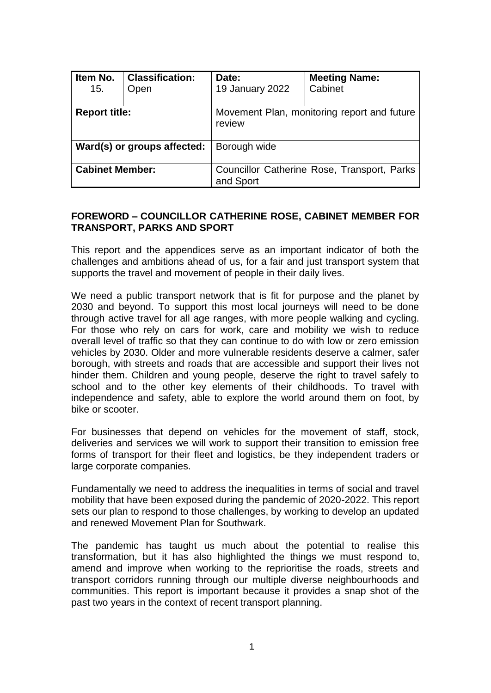| Item No.<br>15.             | <b>Classification:</b><br>Open | Date:<br>19 January 2022                                 | <b>Meeting Name:</b><br>Cabinet |  |
|-----------------------------|--------------------------------|----------------------------------------------------------|---------------------------------|--|
| <b>Report title:</b>        |                                | Movement Plan, monitoring report and future<br>review    |                                 |  |
| Ward(s) or groups affected: |                                | Borough wide                                             |                                 |  |
| <b>Cabinet Member:</b>      |                                | Councillor Catherine Rose, Transport, Parks<br>and Sport |                                 |  |

# **FOREWORD – COUNCILLOR CATHERINE ROSE, CABINET MEMBER FOR TRANSPORT, PARKS AND SPORT**

This report and the appendices serve as an important indicator of both the challenges and ambitions ahead of us, for a fair and just transport system that supports the travel and movement of people in their daily lives.

We need a public transport network that is fit for purpose and the planet by 2030 and beyond. To support this most local journeys will need to be done through active travel for all age ranges, with more people walking and cycling. For those who rely on cars for work, care and mobility we wish to reduce overall level of traffic so that they can continue to do with low or zero emission vehicles by 2030. Older and more vulnerable residents deserve a calmer, safer borough, with streets and roads that are accessible and support their lives not hinder them. Children and young people, deserve the right to travel safely to school and to the other key elements of their childhoods. To travel with independence and safety, able to explore the world around them on foot, by bike or scooter.

For businesses that depend on vehicles for the movement of staff, stock, deliveries and services we will work to support their transition to emission free forms of transport for their fleet and logistics, be they independent traders or large corporate companies.

Fundamentally we need to address the inequalities in terms of social and travel mobility that have been exposed during the pandemic of 2020-2022. This report sets our plan to respond to those challenges, by working to develop an updated and renewed Movement Plan for Southwark.

The pandemic has taught us much about the potential to realise this transformation, but it has also highlighted the things we must respond to, amend and improve when working to the reprioritise the roads, streets and transport corridors running through our multiple diverse neighbourhoods and communities. This report is important because it provides a snap shot of the past two years in the context of recent transport planning.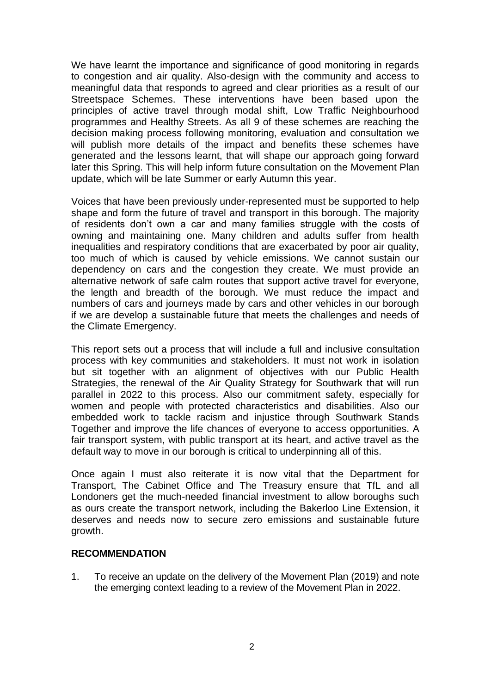We have learnt the importance and significance of good monitoring in regards to congestion and air quality. Also-design with the community and access to meaningful data that responds to agreed and clear priorities as a result of our Streetspace Schemes. These interventions have been based upon the principles of active travel through modal shift, Low Traffic Neighbourhood programmes and Healthy Streets. As all 9 of these schemes are reaching the decision making process following monitoring, evaluation and consultation we will publish more details of the impact and benefits these schemes have generated and the lessons learnt, that will shape our approach going forward later this Spring. This will help inform future consultation on the Movement Plan update, which will be late Summer or early Autumn this year.

Voices that have been previously under-represented must be supported to help shape and form the future of travel and transport in this borough. The majority of residents don't own a car and many families struggle with the costs of owning and maintaining one. Many children and adults suffer from health inequalities and respiratory conditions that are exacerbated by poor air quality, too much of which is caused by vehicle emissions. We cannot sustain our dependency on cars and the congestion they create. We must provide an alternative network of safe calm routes that support active travel for everyone, the length and breadth of the borough. We must reduce the impact and numbers of cars and journeys made by cars and other vehicles in our borough if we are develop a sustainable future that meets the challenges and needs of the Climate Emergency.

This report sets out a process that will include a full and inclusive consultation process with key communities and stakeholders. It must not work in isolation but sit together with an alignment of objectives with our Public Health Strategies, the renewal of the Air Quality Strategy for Southwark that will run parallel in 2022 to this process. Also our commitment safety, especially for women and people with protected characteristics and disabilities. Also our embedded work to tackle racism and injustice through Southwark Stands Together and improve the life chances of everyone to access opportunities. A fair transport system, with public transport at its heart, and active travel as the default way to move in our borough is critical to underpinning all of this.

Once again I must also reiterate it is now vital that the Department for Transport, The Cabinet Office and The Treasury ensure that TfL and all Londoners get the much-needed financial investment to allow boroughs such as ours create the transport network, including the Bakerloo Line Extension, it deserves and needs now to secure zero emissions and sustainable future growth.

#### **RECOMMENDATION**

1. To receive an update on the delivery of the Movement Plan (2019) and note the emerging context leading to a review of the Movement Plan in 2022.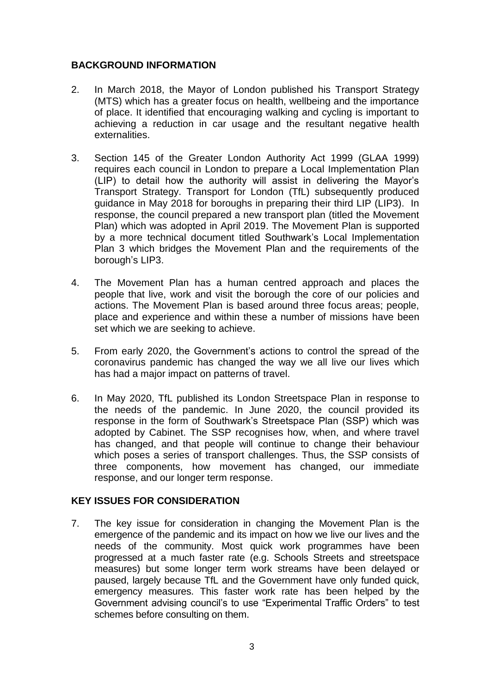# **BACKGROUND INFORMATION**

- 2. In March 2018, the Mayor of London published his Transport Strategy (MTS) which has a greater focus on health, wellbeing and the importance of place. It identified that encouraging walking and cycling is important to achieving a reduction in car usage and the resultant negative health externalities.
- 3. Section 145 of the Greater London Authority Act 1999 (GLAA 1999) requires each council in London to prepare a Local Implementation Plan (LIP) to detail how the authority will assist in delivering the Mayor's Transport Strategy. Transport for London (TfL) subsequently produced guidance in May 2018 for boroughs in preparing their third LIP (LIP3). In response, the council prepared a new transport plan (titled the Movement Plan) which was adopted in April 2019. The Movement Plan is supported by a more technical document titled Southwark's Local Implementation Plan 3 which bridges the Movement Plan and the requirements of the borough's LIP3.
- 4. The Movement Plan has a human centred approach and places the people that live, work and visit the borough the core of our policies and actions. The Movement Plan is based around three focus areas; people, place and experience and within these a number of missions have been set which we are seeking to achieve.
- 5. From early 2020, the Government's actions to control the spread of the coronavirus pandemic has changed the way we all live our lives which has had a major impact on patterns of travel.
- 6. In May 2020, TfL published its London Streetspace Plan in response to the needs of the pandemic. In June 2020, the council provided its response in the form of Southwark's Streetspace Plan (SSP) which was adopted by Cabinet. The SSP recognises how, when, and where travel has changed, and that people will continue to change their behaviour which poses a series of transport challenges. Thus, the SSP consists of three components, how movement has changed, our immediate response, and our longer term response.

### **KEY ISSUES FOR CONSIDERATION**

7. The key issue for consideration in changing the Movement Plan is the emergence of the pandemic and its impact on how we live our lives and the needs of the community. Most quick work programmes have been progressed at a much faster rate (e.g. Schools Streets and streetspace measures) but some longer term work streams have been delayed or paused, largely because TfL and the Government have only funded quick, emergency measures. This faster work rate has been helped by the Government advising council's to use "Experimental Traffic Orders" to test schemes before consulting on them.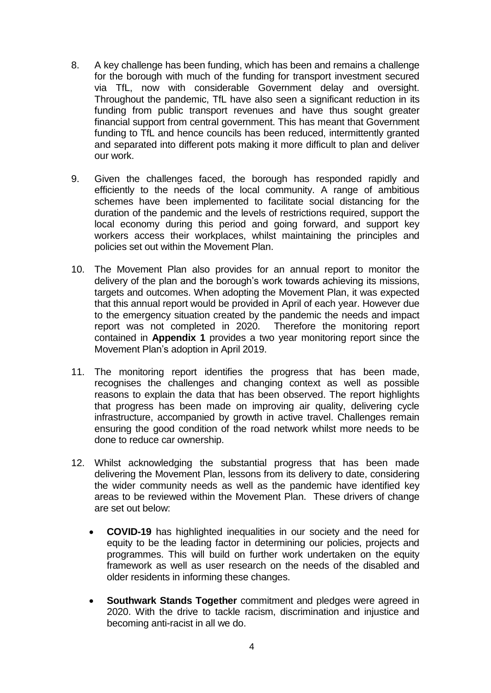- 8. A key challenge has been funding, which has been and remains a challenge for the borough with much of the funding for transport investment secured via TfL, now with considerable Government delay and oversight. Throughout the pandemic, TfL have also seen a significant reduction in its funding from public transport revenues and have thus sought greater financial support from central government. This has meant that Government funding to TfL and hence councils has been reduced, intermittently granted and separated into different pots making it more difficult to plan and deliver our work.
- 9. Given the challenges faced, the borough has responded rapidly and efficiently to the needs of the local community. A range of ambitious schemes have been implemented to facilitate social distancing for the duration of the pandemic and the levels of restrictions required, support the local economy during this period and going forward, and support key workers access their workplaces, whilst maintaining the principles and policies set out within the Movement Plan.
- 10. The Movement Plan also provides for an annual report to monitor the delivery of the plan and the borough's work towards achieving its missions, targets and outcomes. When adopting the Movement Plan, it was expected that this annual report would be provided in April of each year. However due to the emergency situation created by the pandemic the needs and impact report was not completed in 2020. Therefore the monitoring report contained in **Appendix 1** provides a two year monitoring report since the Movement Plan's adoption in April 2019.
- 11. The monitoring report identifies the progress that has been made, recognises the challenges and changing context as well as possible reasons to explain the data that has been observed. The report highlights that progress has been made on improving air quality, delivering cycle infrastructure, accompanied by growth in active travel. Challenges remain ensuring the good condition of the road network whilst more needs to be done to reduce car ownership.
- 12. Whilst acknowledging the substantial progress that has been made delivering the Movement Plan, lessons from its delivery to date, considering the wider community needs as well as the pandemic have identified key areas to be reviewed within the Movement Plan. These drivers of change are set out below:
	- **COVID-19** has highlighted inequalities in our society and the need for equity to be the leading factor in determining our policies, projects and programmes. This will build on further work undertaken on the equity framework as well as user research on the needs of the disabled and older residents in informing these changes.
	- **Southwark Stands Together** commitment and pledges were agreed in 2020. With the drive to tackle racism, discrimination and injustice and becoming anti-racist in all we do.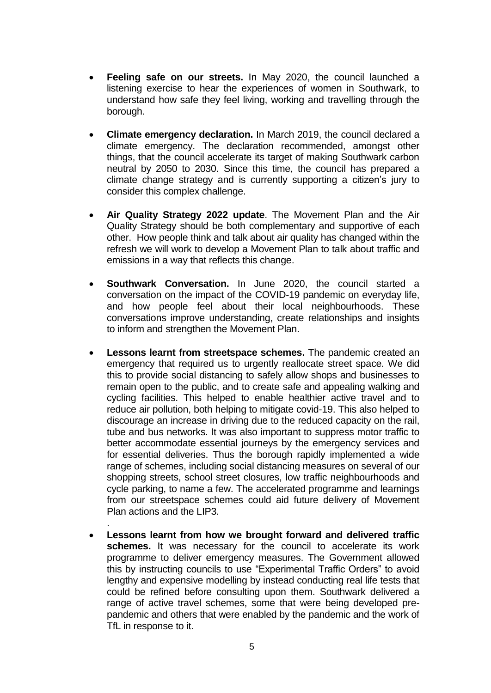- **Feeling safe on our streets.** In May 2020, the council launched a listening exercise to hear the experiences of women in Southwark, to understand how safe they feel living, working and travelling through the borough.
- **Climate emergency declaration.** In March 2019, the council declared a climate emergency. The declaration recommended, amongst other things, that the council accelerate its target of making Southwark carbon neutral by 2050 to 2030. Since this time, the council has prepared a climate change strategy and is currently supporting a citizen's jury to consider this complex challenge.
- **Air Quality Strategy 2022 update**. The Movement Plan and the Air Quality Strategy should be both complementary and supportive of each other. How people think and talk about air quality has changed within the refresh we will work to develop a Movement Plan to talk about traffic and emissions in a way that reflects this change.
- **Southwark Conversation.** In June 2020, the council started a conversation on the impact of the COVID-19 pandemic on everyday life, and how people feel about their local neighbourhoods. These conversations improve understanding, create relationships and insights to inform and strengthen the Movement Plan.
- **Lessons learnt from streetspace schemes.** The pandemic created an emergency that required us to urgently reallocate street space. We did this to provide social distancing to safely allow shops and businesses to remain open to the public, and to create safe and appealing walking and cycling facilities. This helped to enable healthier active travel and to reduce air pollution, both helping to mitigate covid-19. This also helped to discourage an increase in driving due to the reduced capacity on the rail, tube and bus networks. It was also important to suppress motor traffic to better accommodate essential journeys by the emergency services and for essential deliveries. Thus the borough rapidly implemented a wide range of schemes, including social distancing measures on several of our shopping streets, school street closures, low traffic neighbourhoods and cycle parking, to name a few. The accelerated programme and learnings from our streetspace schemes could aid future delivery of Movement Plan actions and the LIP3.
- **Lessons learnt from how we brought forward and delivered traffic schemes.** It was necessary for the council to accelerate its work programme to deliver emergency measures. The Government allowed this by instructing councils to use "Experimental Traffic Orders" to avoid lengthy and expensive modelling by instead conducting real life tests that could be refined before consulting upon them. Southwark delivered a range of active travel schemes, some that were being developed prepandemic and others that were enabled by the pandemic and the work of TfL in response to it.

.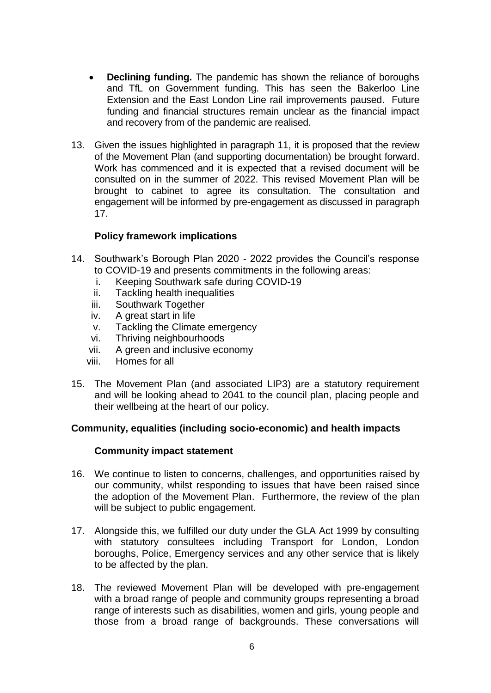- **Declining funding.** The pandemic has shown the reliance of boroughs and TfL on Government funding. This has seen the Bakerloo Line Extension and the East London Line rail improvements paused. Future funding and financial structures remain unclear as the financial impact and recovery from of the pandemic are realised.
- 13. Given the issues highlighted in paragraph 11, it is proposed that the review of the Movement Plan (and supporting documentation) be brought forward. Work has commenced and it is expected that a revised document will be consulted on in the summer of 2022. This revised Movement Plan will be brought to cabinet to agree its consultation. The consultation and engagement will be informed by pre-engagement as discussed in paragraph 17.

# **Policy framework implications**

- 14. Southwark's Borough Plan 2020 2022 provides the Council's response to COVID-19 and presents commitments in the following areas:
	- i. Keeping Southwark safe during COVID-19
	- ii. Tackling health inequalities
	- iii. Southwark Together
	- iv. A great start in life
	- v. Tackling the Climate emergency
	- vi. Thriving neighbourhoods
	- vii. A green and inclusive economy
	- viii. Homes for all
- 15. The Movement Plan (and associated LIP3) are a statutory requirement and will be looking ahead to 2041 to the council plan, placing people and their wellbeing at the heart of our policy.

# **Community, equalities (including socio-economic) and health impacts**

### **Community impact statement**

- 16. We continue to listen to concerns, challenges, and opportunities raised by our community, whilst responding to issues that have been raised since the adoption of the Movement Plan. Furthermore, the review of the plan will be subject to public engagement.
- 17. Alongside this, we fulfilled our duty under the GLA Act 1999 by consulting with statutory consultees including Transport for London, London boroughs, Police, Emergency services and any other service that is likely to be affected by the plan.
- 18. The reviewed Movement Plan will be developed with pre-engagement with a broad range of people and community groups representing a broad range of interests such as disabilities, women and girls, young people and those from a broad range of backgrounds. These conversations will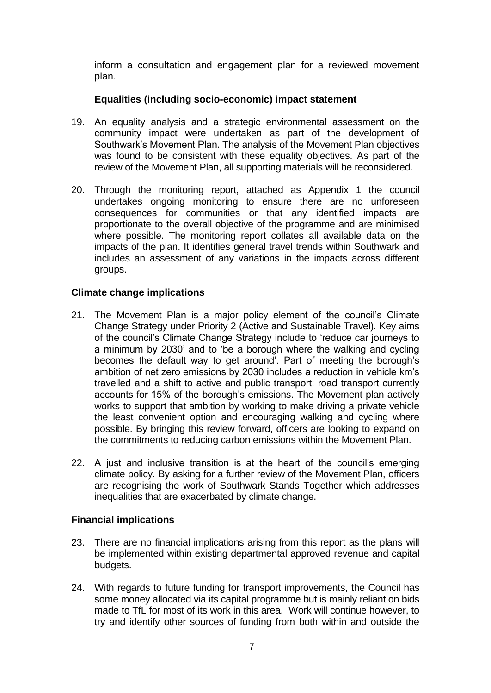inform a consultation and engagement plan for a reviewed movement plan.

## **Equalities (including socio-economic) impact statement**

- 19. An equality analysis and a strategic environmental assessment on the community impact were undertaken as part of the development of Southwark's Movement Plan. The analysis of the Movement Plan objectives was found to be consistent with these equality objectives. As part of the review of the Movement Plan, all supporting materials will be reconsidered.
- 20. Through the monitoring report, attached as Appendix 1 the council undertakes ongoing monitoring to ensure there are no unforeseen consequences for communities or that any identified impacts are proportionate to the overall objective of the programme and are minimised where possible. The monitoring report collates all available data on the impacts of the plan. It identifies general travel trends within Southwark and includes an assessment of any variations in the impacts across different groups.

# **Climate change implications**

- 21. The Movement Plan is a major policy element of the council's Climate Change Strategy under Priority 2 (Active and Sustainable Travel). Key aims of the council's Climate Change Strategy include to 'reduce car journeys to a minimum by 2030' and to 'be a borough where the walking and cycling becomes the default way to get around'. Part of meeting the borough's ambition of net zero emissions by 2030 includes a reduction in vehicle km's travelled and a shift to active and public transport; road transport currently accounts for 15% of the borough's emissions. The Movement plan actively works to support that ambition by working to make driving a private vehicle the least convenient option and encouraging walking and cycling where possible. By bringing this review forward, officers are looking to expand on the commitments to reducing carbon emissions within the Movement Plan.
- 22. A just and inclusive transition is at the heart of the council's emerging climate policy. By asking for a further review of the Movement Plan, officers are recognising the work of Southwark Stands Together which addresses inequalities that are exacerbated by climate change.

### **Financial implications**

- 23. There are no financial implications arising from this report as the plans will be implemented within existing departmental approved revenue and capital budgets.
- 24. With regards to future funding for transport improvements, the Council has some money allocated via its capital programme but is mainly reliant on bids made to TfL for most of its work in this area. Work will continue however, to try and identify other sources of funding from both within and outside the